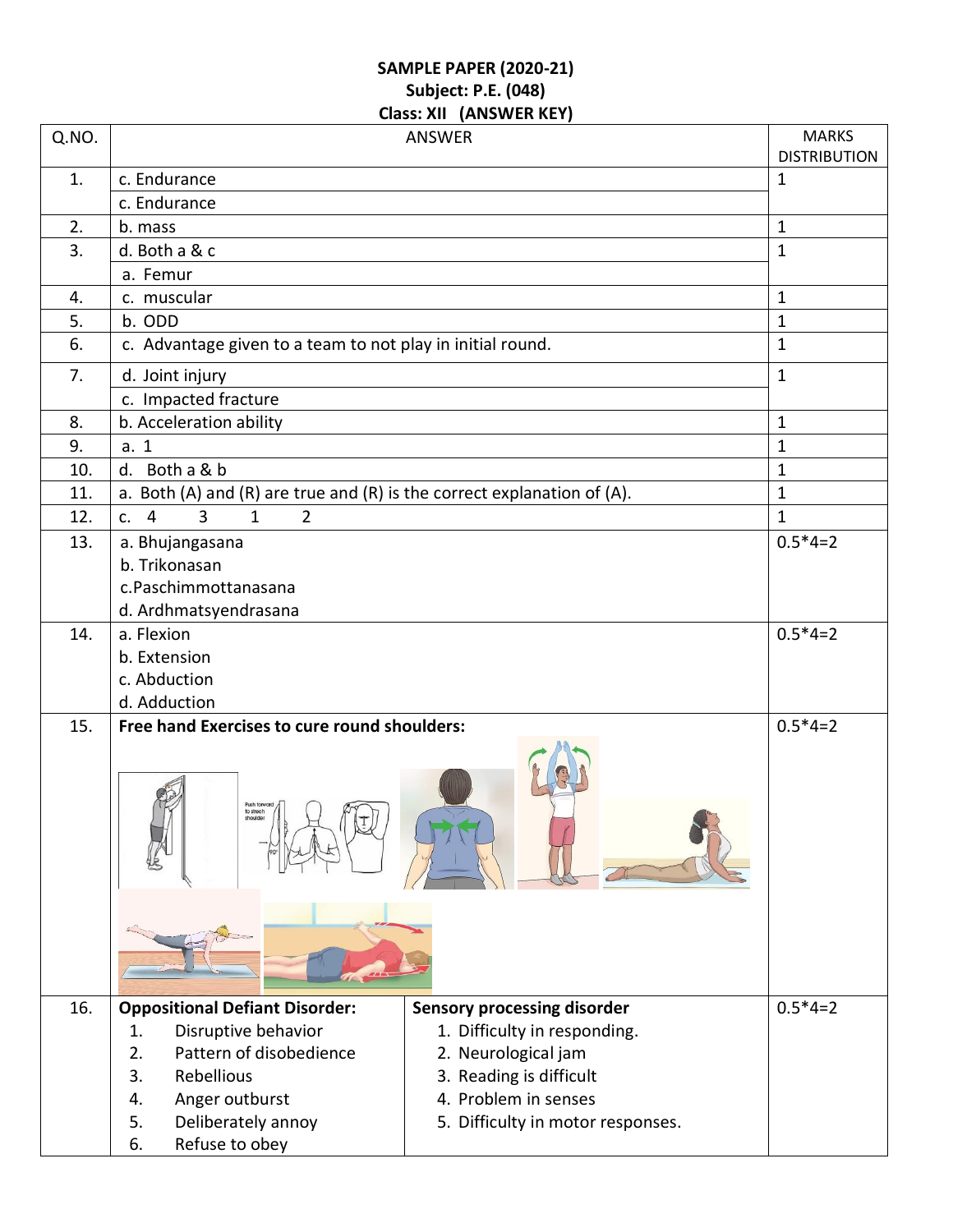## **SAMPLE PAPER (2020-21) Subject: P.E. (048) Class: XII (ANSWER KEY)**

| Q.NO. | <b>ANSWER</b>                                                           |                                                     |              |  |  |
|-------|-------------------------------------------------------------------------|-----------------------------------------------------|--------------|--|--|
|       |                                                                         | <b>MARKS</b><br><b>DISTRIBUTION</b>                 |              |  |  |
| 1.    | c. Endurance                                                            | $\mathbf 1$                                         |              |  |  |
|       | c. Endurance                                                            |                                                     |              |  |  |
| 2.    | b. mass                                                                 | $\mathbf{1}$                                        |              |  |  |
| 3.    | d. Both a & c                                                           |                                                     |              |  |  |
|       | a. Femur                                                                |                                                     |              |  |  |
| 4.    | c. muscular                                                             |                                                     | $\mathbf{1}$ |  |  |
| 5.    | b. ODD                                                                  |                                                     | $\mathbf 1$  |  |  |
| 6.    | c. Advantage given to a team to not play in initial round.              |                                                     | $\mathbf{1}$ |  |  |
| 7.    | d. Joint injury                                                         | $\mathbf{1}$                                        |              |  |  |
|       | c. Impacted fracture                                                    |                                                     |              |  |  |
| 8.    | b. Acceleration ability                                                 |                                                     | $\mathbf 1$  |  |  |
| 9.    | a. 1                                                                    |                                                     | $\mathbf{1}$ |  |  |
| 10.   | d. Both a & b                                                           |                                                     | $\mathbf 1$  |  |  |
| 11.   | a. Both (A) and (R) are true and (R) is the correct explanation of (A). |                                                     | $\mathbf{1}$ |  |  |
| 12.   | 3<br>$\overline{4}$<br>$\mathbf{1}$<br>$\overline{2}$<br>C <sub>1</sub> |                                                     | $\mathbf{1}$ |  |  |
| 13.   | a. Bhujangasana                                                         |                                                     | $0.5*4=2$    |  |  |
|       | b. Trikonasan                                                           |                                                     |              |  |  |
|       | c.Paschimmottanasana                                                    |                                                     |              |  |  |
|       | d. Ardhmatsyendrasana                                                   |                                                     |              |  |  |
| 14.   | a. Flexion                                                              |                                                     | $0.5*4=2$    |  |  |
|       | b. Extension                                                            |                                                     |              |  |  |
|       | c. Abduction                                                            |                                                     |              |  |  |
|       | d. Adduction                                                            |                                                     |              |  |  |
| 15.   | Free hand Exercises to cure round shoulders:                            |                                                     | $0.5*4=2$    |  |  |
|       | Push forward<br>to strech                                               |                                                     |              |  |  |
|       |                                                                         |                                                     |              |  |  |
| 16.   | <b>Oppositional Defiant Disorder:</b><br>1.                             | <b>Sensory processing disorder</b>                  | $0.5*4=2$    |  |  |
|       | Disruptive behavior<br>Pattern of disobedience<br>2.                    | 1. Difficulty in responding.<br>2. Neurological jam |              |  |  |
|       | Rebellious<br>3.                                                        | 3. Reading is difficult                             |              |  |  |
|       | Anger outburst<br>4.                                                    | 4. Problem in senses                                |              |  |  |
|       | Deliberately annoy<br>5.                                                | 5. Difficulty in motor responses.                   |              |  |  |
|       | Refuse to obey<br>6.                                                    |                                                     |              |  |  |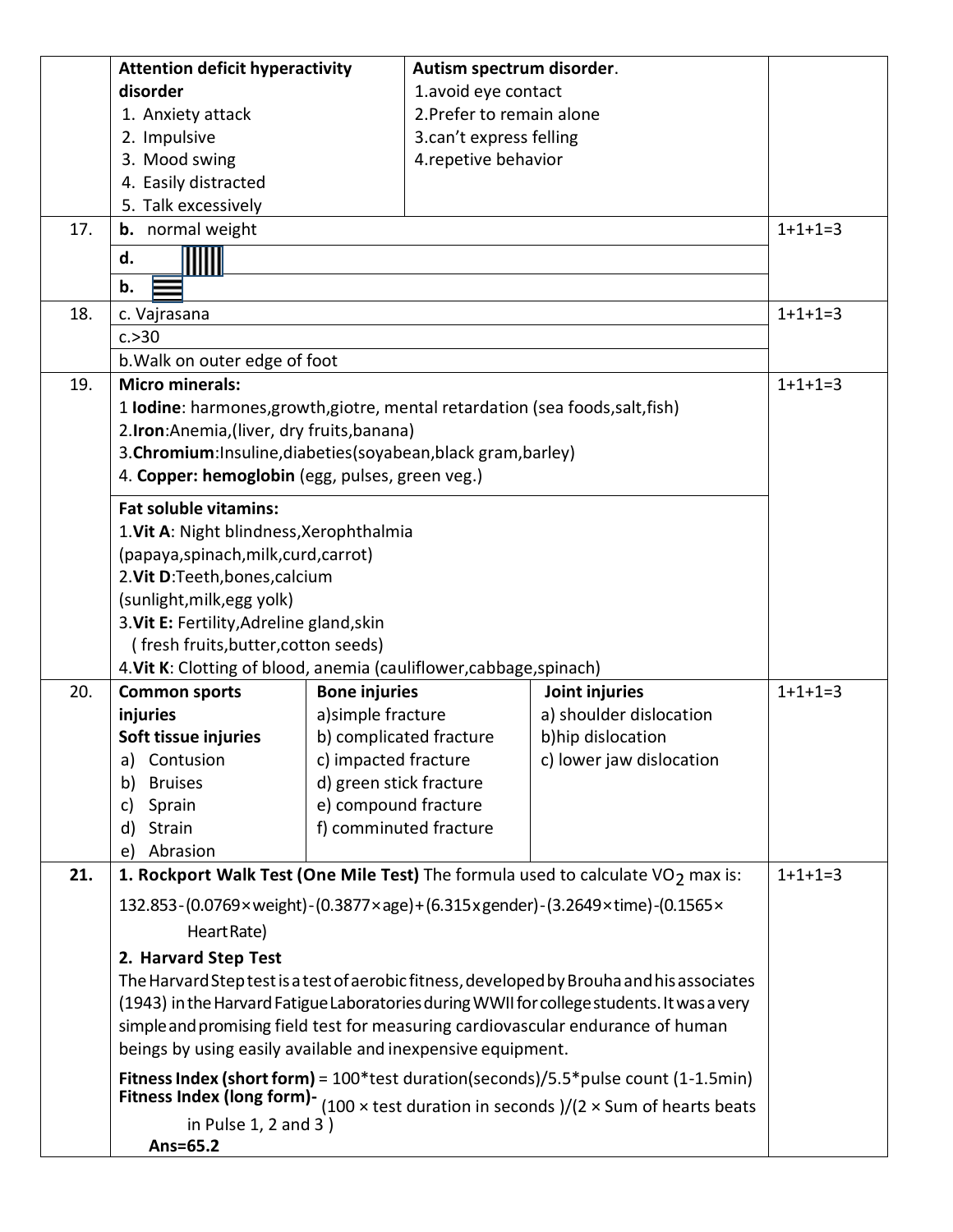|     | <b>Attention deficit hyperactivity</b>                                                                                                |                         | Autism spectrum disorder. |                                                                                             |           |  |  |  |
|-----|---------------------------------------------------------------------------------------------------------------------------------------|-------------------------|---------------------------|---------------------------------------------------------------------------------------------|-----------|--|--|--|
|     | disorder                                                                                                                              |                         | 1.avoid eye contact       |                                                                                             |           |  |  |  |
|     | 1. Anxiety attack                                                                                                                     |                         | 2. Prefer to remain alone |                                                                                             |           |  |  |  |
|     | 2. Impulsive                                                                                                                          |                         | 3.can't express felling   |                                                                                             |           |  |  |  |
|     | 3. Mood swing                                                                                                                         |                         | 4.repetive behavior       |                                                                                             |           |  |  |  |
|     | 4. Easily distracted                                                                                                                  |                         |                           |                                                                                             |           |  |  |  |
|     | 5. Talk excessively                                                                                                                   |                         |                           |                                                                                             |           |  |  |  |
| 17. | <b>b.</b> normal weight                                                                                                               |                         |                           |                                                                                             | $1+1+1=3$ |  |  |  |
|     | d.                                                                                                                                    |                         |                           |                                                                                             |           |  |  |  |
|     |                                                                                                                                       |                         |                           |                                                                                             |           |  |  |  |
|     | b.                                                                                                                                    |                         |                           |                                                                                             |           |  |  |  |
| 18. | c. Vajrasana                                                                                                                          |                         |                           |                                                                                             | $1+1+1=3$ |  |  |  |
|     | c. > 30                                                                                                                               |                         |                           |                                                                                             |           |  |  |  |
|     | b. Walk on outer edge of foot                                                                                                         |                         |                           |                                                                                             |           |  |  |  |
| 19. | <b>Micro minerals:</b>                                                                                                                |                         | $1+1+1=3$                 |                                                                                             |           |  |  |  |
|     | 1 Iodine: harmones, growth, giotre, mental retardation (sea foods, salt, fish)                                                        |                         |                           |                                                                                             |           |  |  |  |
|     | 2.Iron:Anemia, (liver, dry fruits, banana)                                                                                            |                         |                           |                                                                                             |           |  |  |  |
|     | 3. Chromium: Insuline, diabeties (soyabean, black gram, barley)                                                                       |                         |                           |                                                                                             |           |  |  |  |
|     | 4. Copper: hemoglobin (egg, pulses, green veg.)                                                                                       |                         |                           |                                                                                             |           |  |  |  |
|     | <b>Fat soluble vitamins:</b>                                                                                                          |                         |                           |                                                                                             |           |  |  |  |
|     | 1. Vit A: Night blindness, Xerophthalmia                                                                                              |                         |                           |                                                                                             |           |  |  |  |
|     | (papaya, spinach, milk, curd, carrot)                                                                                                 |                         |                           |                                                                                             |           |  |  |  |
|     | 2. Vit D:Teeth, bones, calcium                                                                                                        |                         |                           |                                                                                             |           |  |  |  |
|     | (sunlight, milk, egg yolk)                                                                                                            |                         |                           |                                                                                             |           |  |  |  |
|     | 3. Vit E: Fertility, Adreline gland, skin                                                                                             |                         |                           |                                                                                             |           |  |  |  |
|     | (fresh fruits, butter, cotton seeds)                                                                                                  |                         |                           |                                                                                             |           |  |  |  |
|     |                                                                                                                                       |                         |                           |                                                                                             |           |  |  |  |
| 20. | 4. Vit K: Clotting of blood, anemia (cauliflower, cabbage, spinach)<br><b>Bone injuries</b><br>Joint injuries<br><b>Common sports</b> |                         |                           | $1+1+1=3$                                                                                   |           |  |  |  |
|     | injuries                                                                                                                              | a) simple fracture      |                           | a) shoulder dislocation                                                                     |           |  |  |  |
|     | Soft tissue injuries                                                                                                                  | b) complicated fracture |                           | b)hip dislocation                                                                           |           |  |  |  |
|     | Contusion<br>a)                                                                                                                       | c) impacted fracture    |                           | c) lower jaw dislocation                                                                    |           |  |  |  |
|     | <b>Bruises</b><br>b)                                                                                                                  | d) green stick fracture |                           |                                                                                             |           |  |  |  |
|     | Sprain<br>c)                                                                                                                          | e) compound fracture    |                           |                                                                                             |           |  |  |  |
|     | d)<br>Strain                                                                                                                          |                         | f) comminuted fracture    |                                                                                             |           |  |  |  |
|     | Abrasion<br>e)                                                                                                                        |                         |                           |                                                                                             |           |  |  |  |
| 21. |                                                                                                                                       |                         |                           | 1. Rockport Walk Test (One Mile Test) The formula used to calculate VO <sub>2</sub> max is: | $1+1+1=3$ |  |  |  |
|     |                                                                                                                                       |                         |                           |                                                                                             |           |  |  |  |
|     |                                                                                                                                       |                         |                           | 132.853-(0.0769×weight)-(0.3877×age)+(6.315xgender)-(3.2649×time)-(0.1565×                  |           |  |  |  |
|     | Heart Rate)                                                                                                                           |                         |                           |                                                                                             |           |  |  |  |
|     | 2. Harvard Step Test                                                                                                                  |                         |                           |                                                                                             |           |  |  |  |
|     |                                                                                                                                       |                         |                           | The Harvard Step test is a test of aerobic fitness, developed by Brouha and his associates  |           |  |  |  |
|     | (1943) in the Harvard Fatigue Laboratories during WWII for college students. It was a very                                            |                         |                           |                                                                                             |           |  |  |  |
|     | simple and promising field test for measuring cardiovascular endurance of human                                                       |                         |                           |                                                                                             |           |  |  |  |
|     | beings by using easily available and inexpensive equipment.                                                                           |                         |                           |                                                                                             |           |  |  |  |
|     | Fitness Index (short form) = $100*$ test duration(seconds)/5.5 $*$ pulse count (1-1.5min)                                             |                         |                           |                                                                                             |           |  |  |  |
|     | Fitness Index (long form)- $(100 \times \text{test duration in seconds})/(2 \times \text{Sum of hearts beats})$                       |                         |                           |                                                                                             |           |  |  |  |
|     | in Pulse $1, 2$ and $3)$                                                                                                              |                         |                           |                                                                                             |           |  |  |  |
|     | Ans=65.2                                                                                                                              |                         |                           |                                                                                             |           |  |  |  |
|     |                                                                                                                                       |                         |                           |                                                                                             |           |  |  |  |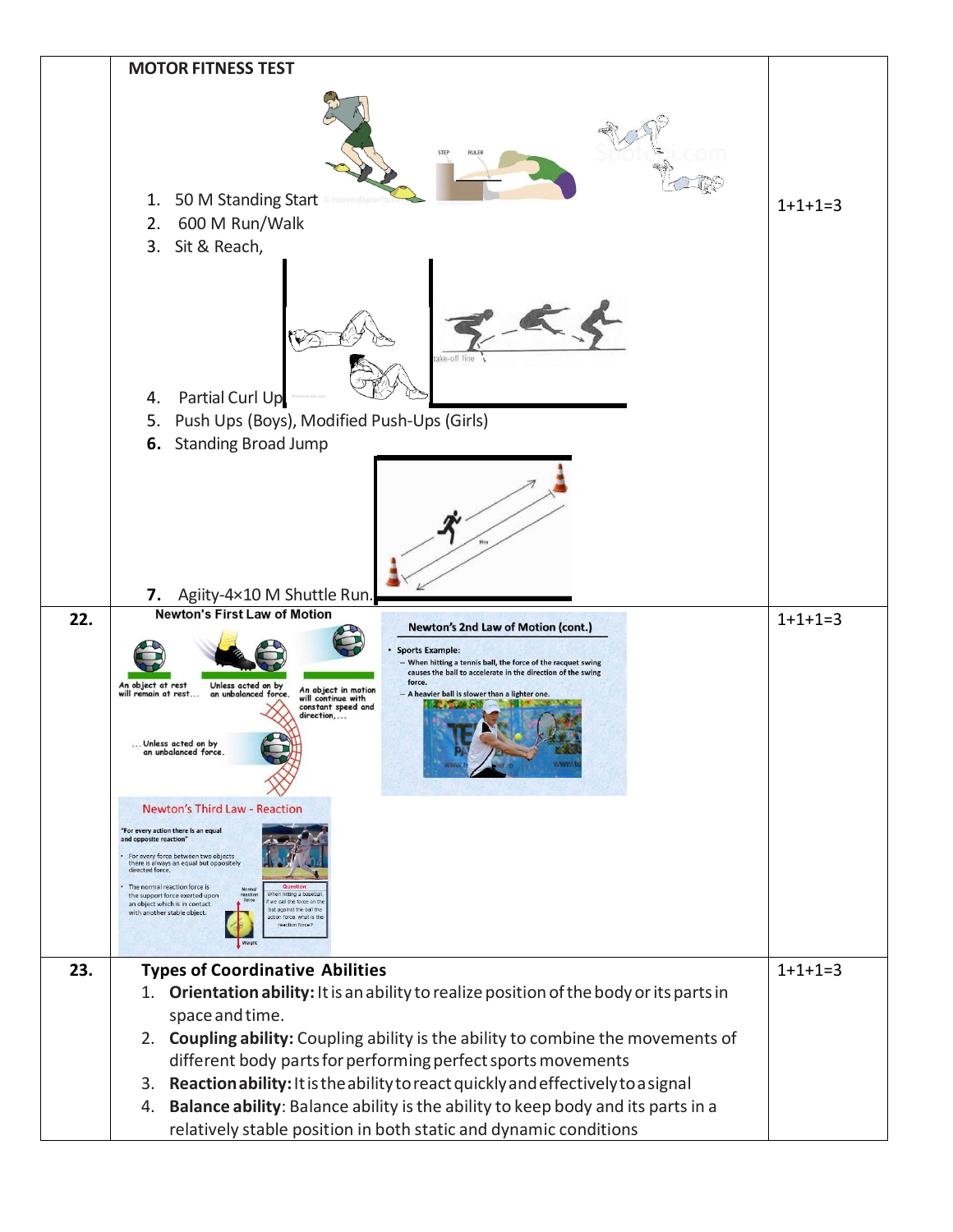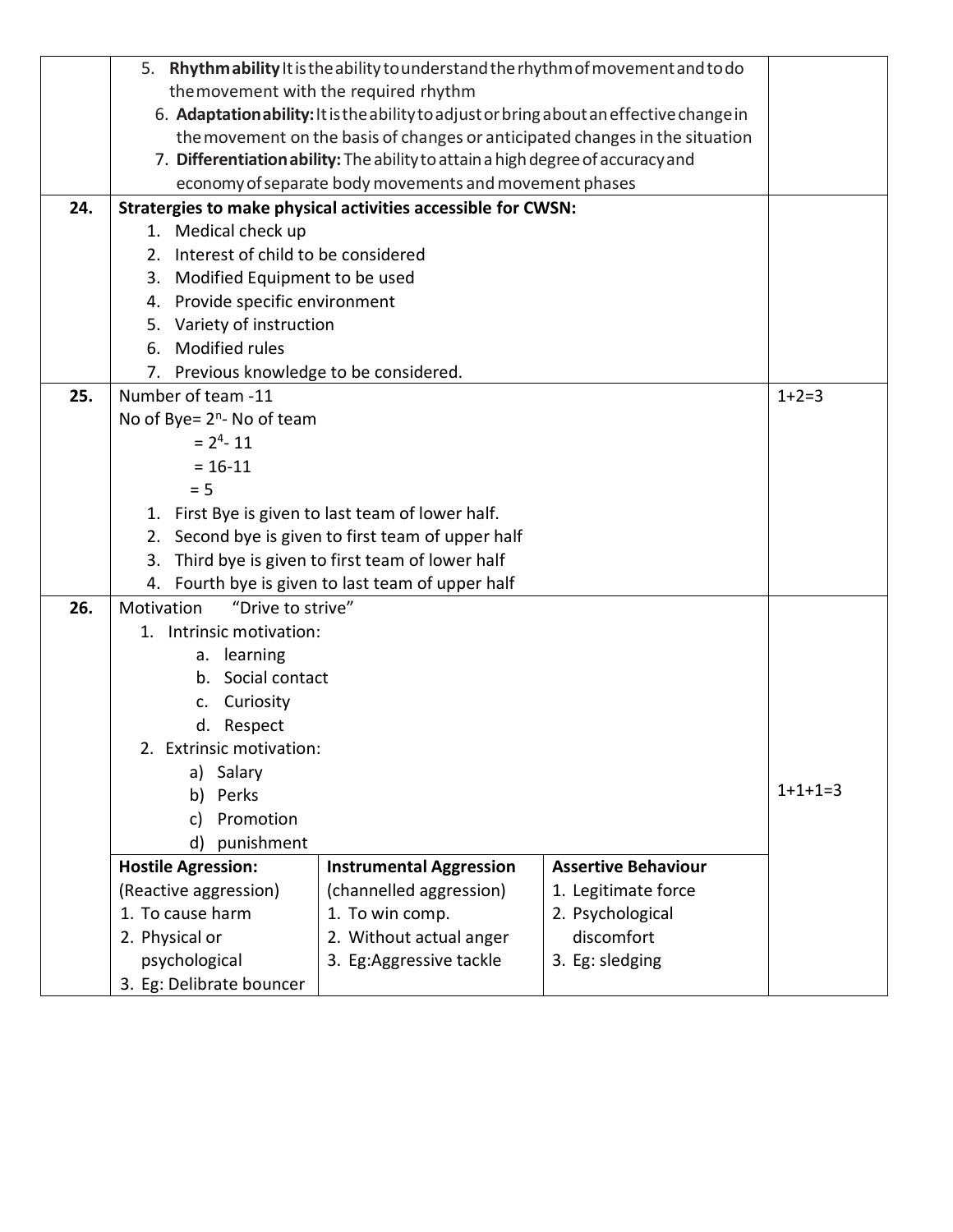|     | 5. Rhythmability It is the ability to understand the rhythm of movement and to do        |                                |                            |  |  |  |
|-----|------------------------------------------------------------------------------------------|--------------------------------|----------------------------|--|--|--|
|     | the movement with the required rhythm                                                    |                                |                            |  |  |  |
|     | 6. Adaptation ability: It is the ability to adjust or bring about an effective change in |                                |                            |  |  |  |
|     | the movement on the basis of changes or anticipated changes in the situation             |                                |                            |  |  |  |
|     | 7. Differentiation ability: The ability to attain a high degree of accuracy and          |                                |                            |  |  |  |
|     | economy of separate body movements and movement phases                                   |                                |                            |  |  |  |
| 24. | Stratergies to make physical activities accessible for CWSN:                             |                                |                            |  |  |  |
|     | 1. Medical check up                                                                      |                                |                            |  |  |  |
|     | 2. Interest of child to be considered                                                    |                                |                            |  |  |  |
|     | 3. Modified Equipment to be used                                                         |                                |                            |  |  |  |
|     | Provide specific environment<br>4.                                                       |                                |                            |  |  |  |
|     | 5. Variety of instruction                                                                |                                |                            |  |  |  |
|     | Modified rules<br>6.                                                                     |                                |                            |  |  |  |
|     | 7. Previous knowledge to be considered.                                                  |                                |                            |  |  |  |
| 25. | Number of team -11                                                                       |                                |                            |  |  |  |
|     | No of Bye= $2^n$ - No of team                                                            |                                |                            |  |  |  |
|     | $= 24 - 11$                                                                              |                                |                            |  |  |  |
|     | $= 16 - 11$                                                                              |                                |                            |  |  |  |
|     | $= 5$                                                                                    |                                |                            |  |  |  |
|     | 1. First Bye is given to last team of lower half.                                        |                                |                            |  |  |  |
|     | Second bye is given to first team of upper half<br>2.                                    |                                |                            |  |  |  |
|     | Third bye is given to first team of lower half<br>3.                                     |                                |                            |  |  |  |
|     | Fourth bye is given to last team of upper half<br>4.                                     |                                |                            |  |  |  |
| 26. | "Drive to strive"<br>Motivation                                                          |                                |                            |  |  |  |
|     | 1. Intrinsic motivation:                                                                 |                                |                            |  |  |  |
|     | a. learning                                                                              |                                |                            |  |  |  |
|     | b. Social contact                                                                        |                                |                            |  |  |  |
|     | c. Curiosity                                                                             |                                |                            |  |  |  |
|     | d. Respect                                                                               |                                |                            |  |  |  |
|     | 2. Extrinsic motivation:                                                                 |                                |                            |  |  |  |
|     | a) Salary                                                                                |                                |                            |  |  |  |
|     | Perks<br>b)                                                                              |                                |                            |  |  |  |
|     | Promotion<br>c)                                                                          |                                |                            |  |  |  |
|     | punishment<br>d)                                                                         |                                |                            |  |  |  |
|     | <b>Hostile Agression:</b>                                                                | <b>Instrumental Aggression</b> | <b>Assertive Behaviour</b> |  |  |  |
|     | (Reactive aggression)                                                                    | (channelled aggression)        | 1. Legitimate force        |  |  |  |
|     | 1. To cause harm                                                                         | 1. To win comp.                | 2. Psychological           |  |  |  |
|     | discomfort<br>2. Physical or<br>2. Without actual anger                                  |                                |                            |  |  |  |
|     | psychological                                                                            |                                |                            |  |  |  |
|     | 3. Eg: Delibrate bouncer                                                                 |                                |                            |  |  |  |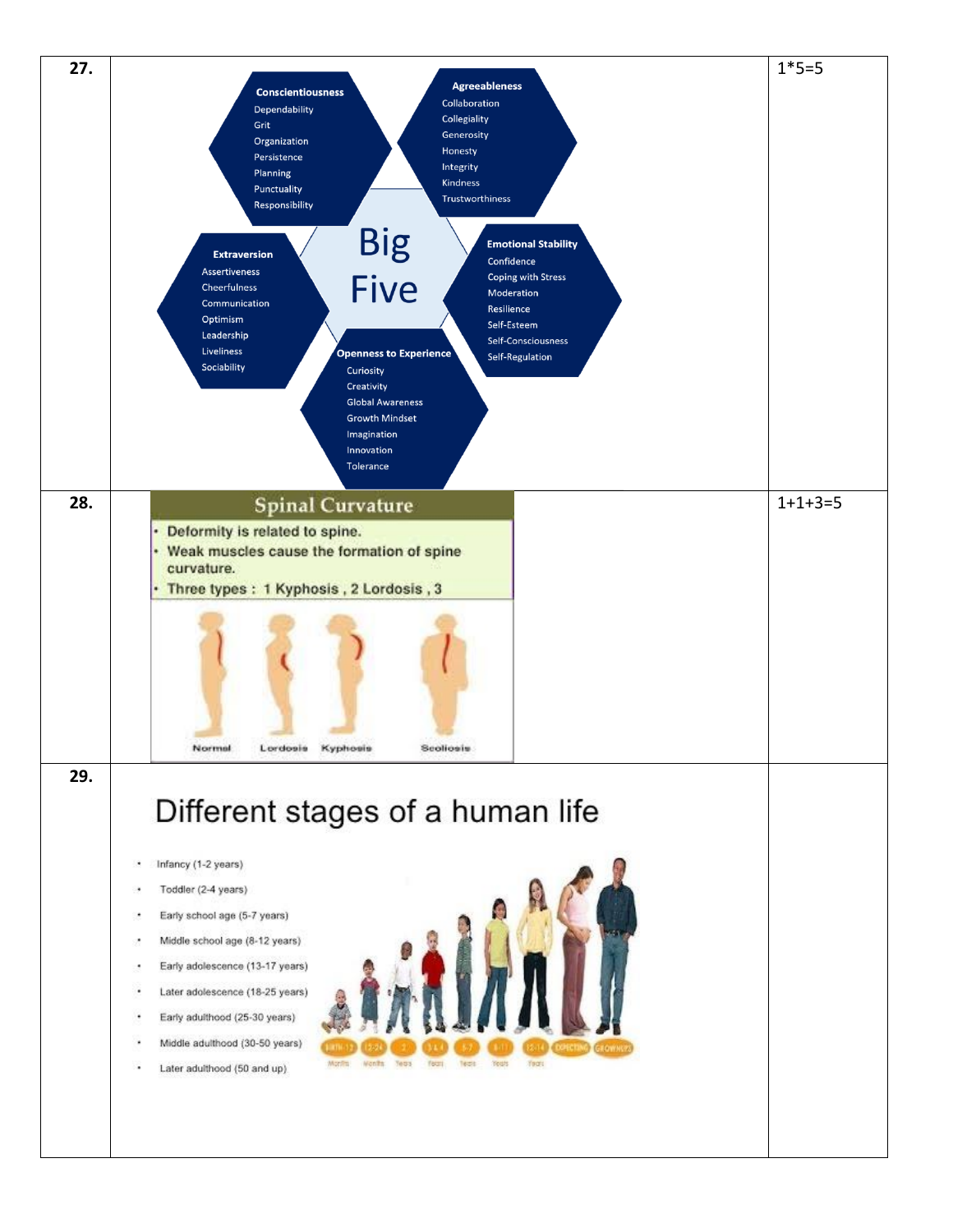